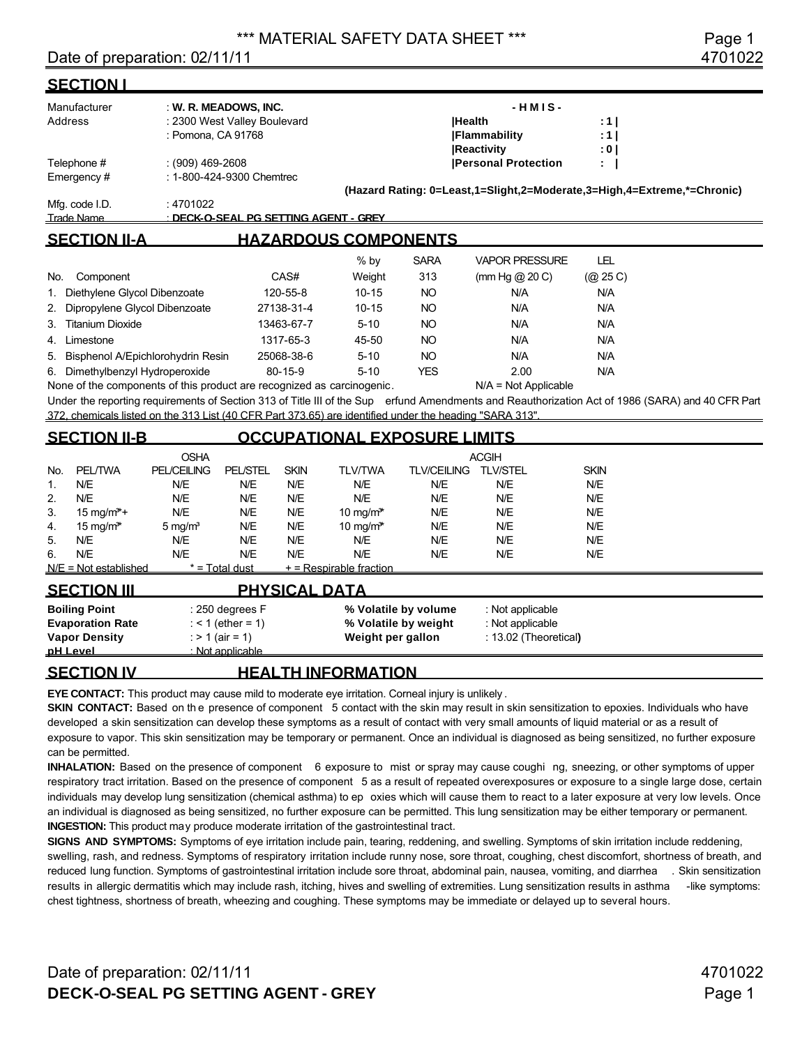#### Date of preparation: 02/11/11 4701022

| <u>SECTION I</u>                                                                                        |                                                    |                                                                               |               |                                                                   |                    |                                                                         |                      |                                                                                                                                                  |
|---------------------------------------------------------------------------------------------------------|----------------------------------------------------|-------------------------------------------------------------------------------|---------------|-------------------------------------------------------------------|--------------------|-------------------------------------------------------------------------|----------------------|--------------------------------------------------------------------------------------------------------------------------------------------------|
| Manufacturer<br>Address                                                                                 | : Pomona, CA 91768                                 | : W. R. MEADOWS, INC.<br>: 2300 West Valley Boulevard                         |               |                                                                   | <b>Health</b>      | $-HMIS -$<br><b>IFlammability</b><br><b>Reactivity</b>                  | : 1  <br>: 11<br>: 0 |                                                                                                                                                  |
| Telephone #<br>Emergency#                                                                               | $(909)$ 469-2608<br>: 1-800-424-9300 Chemtrec      |                                                                               |               |                                                                   |                    | <b>Personal Protection</b>                                              | ÷                    |                                                                                                                                                  |
| Mfg. code I.D.<br>Trade Name                                                                            | : 4701022<br>: DECK-O-SEAL PG SETTING AGENT - GREY |                                                                               |               |                                                                   |                    | (Hazard Rating: 0=Least,1=Slight,2=Moderate,3=High,4=Extreme,*=Chronic) |                      |                                                                                                                                                  |
| <b>SECTION II-A</b>                                                                                     |                                                    |                                                                               |               | <b>HAZARDOUS COMPONENTS</b>                                       |                    |                                                                         |                      |                                                                                                                                                  |
|                                                                                                         |                                                    |                                                                               |               | % by                                                              | <b>SARA</b>        | <b>VAPOR PRESSURE</b>                                                   | <b>LEL</b>           |                                                                                                                                                  |
| Component<br>No.                                                                                        |                                                    |                                                                               | CAS#          | Weight                                                            | 313                | (mm Hg $@$ 20 C)                                                        | (Q25C)               |                                                                                                                                                  |
| Diethylene Glycol Dibenzoate<br>1.                                                                      |                                                    |                                                                               | 120-55-8      | $10 - 15$                                                         | <b>NO</b>          | N/A                                                                     | N/A                  |                                                                                                                                                  |
| Dipropylene Glycol Dibenzoate<br>2.                                                                     |                                                    |                                                                               | 27138-31-4    | $10 - 15$                                                         | <b>NO</b>          | N/A                                                                     | N/A                  |                                                                                                                                                  |
| <b>Titanium Dioxide</b><br>3.                                                                           |                                                    | 13463-67-7                                                                    |               | $5 - 10$                                                          | <b>NO</b>          | N/A                                                                     | N/A                  |                                                                                                                                                  |
| 4. Limestone                                                                                            |                                                    |                                                                               | 1317-65-3     | 45-50                                                             | <b>NO</b>          | N/A                                                                     | N/A                  |                                                                                                                                                  |
| Bisphenol A/Epichlorohydrin Resin<br>5.                                                                 |                                                    | 25068-38-6                                                                    | $5 - 10$      | <b>NO</b>                                                         | N/A                | N/A                                                                     |                      |                                                                                                                                                  |
| 6. Dimethylbenzyl Hydroperoxide                                                                         |                                                    |                                                                               | $80 - 15 - 9$ | $5 - 10$                                                          | <b>YES</b>         | 2.00                                                                    | N/A                  |                                                                                                                                                  |
| None of the components of this product are recognized as carcinogenic.                                  |                                                    |                                                                               |               |                                                                   |                    | $N/A = Not Applicable$                                                  |                      |                                                                                                                                                  |
| 372, chemicals listed on the 313 List (40 CFR Part 373.65) are identified under the heading "SARA 313". |                                                    |                                                                               |               |                                                                   |                    |                                                                         |                      | Under the reporting requirements of Section 313 of Title III of the Sup erfund Amendments and Reauthorization Act of 1986 (SARA) and 40 CFR Part |
| <b>SECTION II-B</b>                                                                                     |                                                    |                                                                               |               | <b>OCCUPATIONAL EXPOSURE LIMITS</b>                               |                    |                                                                         |                      |                                                                                                                                                  |
|                                                                                                         | <b>OSHA</b>                                        |                                                                               |               |                                                                   |                    | <b>ACGIH</b>                                                            |                      |                                                                                                                                                  |
| <b>PEL/TWA</b><br>No.                                                                                   | <b>PEL/CEILING</b>                                 | <b>PEL/STEL</b>                                                               | <b>SKIN</b>   | <b>TLV/TWA</b>                                                    | <b>TLV/CEILING</b> | <b>TLV/STEL</b>                                                         | <b>SKIN</b>          |                                                                                                                                                  |
| N/E<br>1.                                                                                               | N/E                                                | N/E                                                                           | N/E           | N/E                                                               | N/E                | N/E                                                                     | N/E                  |                                                                                                                                                  |
| N/E<br>2.                                                                                               | N/E                                                | N/E                                                                           | N/E           | N/E                                                               | N/E                | N/E                                                                     | N/E                  |                                                                                                                                                  |
| 3.<br>$15 \text{ mg/m}^*+$                                                                              | N/E                                                | N/E<br>N/E                                                                    | N/E<br>N/E    | 10 mg/ $m^*$                                                      | N/E<br>N/E         | N/E<br>N/E                                                              | N/E<br>N/E           |                                                                                                                                                  |
| 4.<br>15 mg/m <sup>*</sup><br>N/E<br>5.                                                                 | $5$ mg/ $m3$<br>N/E                                | N/E                                                                           | N/E           | 10 mg/m <sup>*</sup><br>N/E                                       | N/E                | N/E                                                                     | N/E                  |                                                                                                                                                  |
| N/E<br>6.                                                                                               | N/E                                                | N/E                                                                           | N/E           | N/E                                                               | N/E                | N/E                                                                     | N/E                  |                                                                                                                                                  |
| $N/E = Not established$                                                                                 |                                                    | $*$ = Total dust                                                              |               | $+$ = Respirable fraction                                         |                    |                                                                         |                      |                                                                                                                                                  |
| <b>SECTION III</b>                                                                                      |                                                    |                                                                               |               | <b>PHYSICAL DATA</b>                                              |                    |                                                                         |                      |                                                                                                                                                  |
| <b>Boiling Point</b><br><b>Evaporation Rate</b><br><b>Vapor Density</b><br>pH Level                     |                                                    | : 250 degrees F<br>: < 1 (ether = 1)<br>: $> 1$ (air = 1)<br>: Not applicable |               | % Volatile by volume<br>% Volatile by weight<br>Weight per gallon |                    | : Not applicable<br>: Not applicable<br>: 13.02 (Theoretical)           |                      |                                                                                                                                                  |
| <b>SECTION IV</b><br><b>HEALTH INFORMATION</b>                                                          |                                                    |                                                                               |               |                                                                   |                    |                                                                         |                      |                                                                                                                                                  |

**EYE CONTACT:** This product may cause mild to moderate eye irritation. Corneal injury is unlikely.

**SKIN CONTACT:** Based on the presence of component 5 contact with the skin may result in skin sensitization to epoxies. Individuals who have developed a skin sensitization can develop these symptoms as a result of contact with very small amounts of liquid material or as a result of exposure to vapor. This skin sensitization may be temporary or permanent. Once an individual is diagnosed as being sensitized, no further exposure can be permitted.

**INHALATION:** Based on the presence of component 6 exposure to mist or spray may cause coughi ng, sneezing, or other symptoms of upper respiratory tract irritation. Based on the presence of component 5 as a result of repeated overexposures or exposure to a single large dose, certain individuals may develop lung sensitization (chemical asthma) to ep oxies which will cause them to react to a later exposure at very low levels. Once an individual is diagnosed as being sensitized, no further exposure can be permitted. This lung sensitization may be either temporary or permanent. **INGESTION:** This product may produce moderate irritation of the gastrointestinal tract.

**SIGNS AND SYMPTOMS:** Symptoms of eye irritation include pain, tearing, reddening, and swelling. Symptoms of skin irritation include reddening, swelling, rash, and redness. Symptoms of respiratory irritation include runny nose, sore throat, coughing, chest discomfort, shortness of breath, and reduced lung function. Symptoms of gastrointestinal irritation include sore throat, abdominal pain, nausea, vomiting, and diarrhea . Skin sensitization results in allergic dermatitis which may include rash, itching, hives and swelling of extremities. Lung sensitization results in asthma -like symptoms: chest tightness, shortness of breath, wheezing and coughing. These symptoms may be immediate or delayed up to several hours.